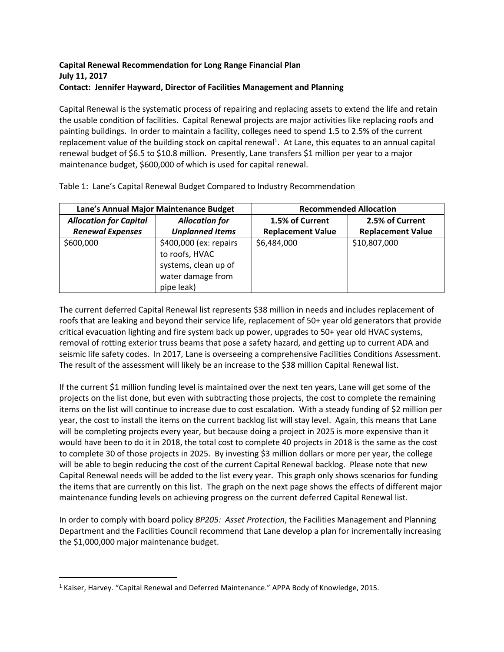## **Capital Renewal Recommendation for Long Range Financial Plan July 11, 2017 Contact: Jennifer Hayward, Director of Facilities Management and Planning**

Capital Renewal is the systematic process of repairing and replacing assets to extend the life and retain the usable condition of facilities. Capital Renewal projects are major activities like replacing roofs and painting buildings. In order to maintain a facility, colleges need to spend 1.5 to 2.5% of the current replacement value of the building stock on capital renewal<sup>1</sup>. At Lane, this equates to an annual capital renewal budget of \$6.5 to \$10.8 million. Presently, Lane transfers \$1 million per year to a major maintenance budget, \$600,000 of which is used for capital renewal.

| Lane's Annual Major Maintenance Budget |                                                                                                     | <b>Recommended Allocation</b> |                          |
|----------------------------------------|-----------------------------------------------------------------------------------------------------|-------------------------------|--------------------------|
| <b>Allocation for Capital</b>          | <b>Allocation for</b>                                                                               | 1.5% of Current               | 2.5% of Current          |
| <b>Renewal Expenses</b>                | <b>Unplanned Items</b>                                                                              | <b>Replacement Value</b>      | <b>Replacement Value</b> |
| \$600,000                              | \$400,000 (ex: repairs<br>to roofs, HVAC<br>systems, clean up of<br>water damage from<br>pipe leak) | \$6,484,000                   | \$10,807,000             |

Table 1: Lane's Capital Renewal Budget Compared to Industry Recommendation

The current deferred Capital Renewal list represents \$38 million in needs and includes replacement of roofs that are leaking and beyond their service life, replacement of 50+ year old generators that provide critical evacuation lighting and fire system back up power, upgrades to 50+ year old HVAC systems, removal of rotting exterior truss beams that pose a safety hazard, and getting up to current ADA and seismic life safety codes. In 2017, Lane is overseeing a comprehensive Facilities Conditions Assessment. The result of the assessment will likely be an increase to the \$38 million Capital Renewal list.

If the current \$1 million funding level is maintained over the next ten years, Lane will get some of the projects on the list done, but even with subtracting those projects, the cost to complete the remaining items on the list will continue to increase due to cost escalation. With a steady funding of \$2 million per year, the cost to install the items on the current backlog list will stay level. Again, this means that Lane will be completing projects every year, but because doing a project in 2025 is more expensive than it would have been to do it in 2018, the total cost to complete 40 projects in 2018 is the same as the cost to complete 30 of those projects in 2025. By investing \$3 million dollars or more per year, the college will be able to begin reducing the cost of the current Capital Renewal backlog. Please note that new Capital Renewal needs will be added to the list every year. This graph only shows scenarios for funding the items that are currently on this list. The graph on the next page shows the effects of different major maintenance funding levels on achieving progress on the current deferred Capital Renewal list.

In order to comply with board policy *BP205: Asset Protection*, the Facilities Management and Planning Department and the Facilities Council recommend that Lane develop a plan for incrementally increasing the \$1,000,000 major maintenance budget.

<sup>&</sup>lt;sup>1</sup> Kaiser, Harvey. "Capital Renewal and Deferred Maintenance." APPA Body of Knowledge, 2015.